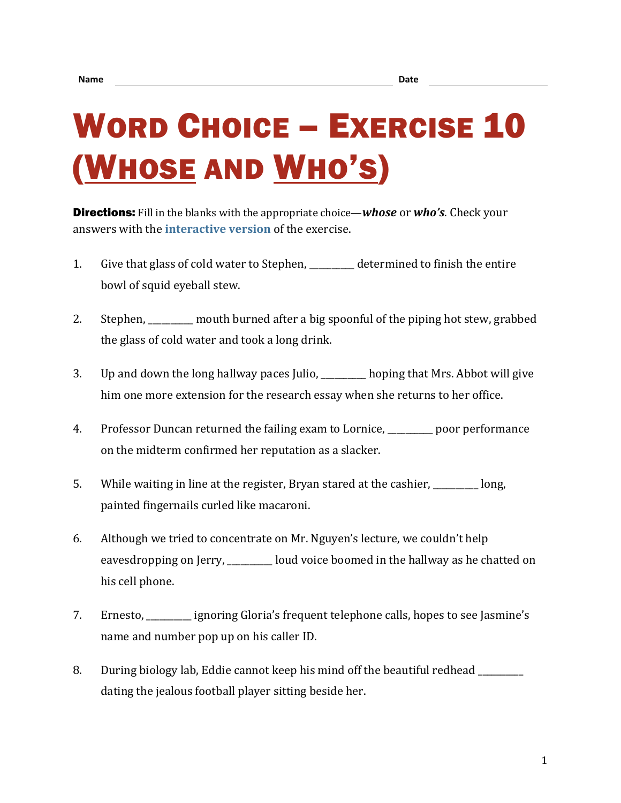## WORD CHOICE – EXERCISE 10 (WHOSE AND WHO'S)

Directions: Fill in the blanks with the appropriate choice—*whose* or *who's*. Check your answers with the **[interactive version](https://chompchomp.com/hotpotatoes/wordchoice10.htm)** of the exercise.

- 1. Give that glass of cold water to Stephen, determined to finish the entire bowl of squid eyeball stew.
- 2. Stephen, \_\_\_\_\_\_\_\_\_\_ mouth burned after a big spoonful of the piping hot stew, grabbed the glass of cold water and took a long drink.
- 3. Up and down the long hallway paces Julio, \_\_\_\_\_\_\_\_\_\_ hoping that Mrs. Abbot will give him one more extension for the research essay when she returns to her office.
- 4. Professor Duncan returned the failing exam to Lornice, \_\_\_\_\_\_\_\_\_\_ poor performance on the midterm confirmed her reputation as a slacker.
- 5. While waiting in line at the register, Bryan stared at the cashier, while waiting in line at the register,  $\frac{1}{2}$  m. painted fingernails curled like macaroni.
- 6. Although we tried to concentrate on Mr. Nguyen's lecture, we couldn't help eavesdropping on Jerry, \_\_\_\_\_\_\_\_ loud voice boomed in the hallway as he chatted on his cell phone.
- 7. Ernesto, \_\_\_\_\_\_\_\_\_\_ ignoring Gloria's frequent telephone calls, hopes to see Jasmine's name and number pop up on his caller ID.
- 8. During biology lab, Eddie cannot keep his mind off the beautiful redhead dating the jealous football player sitting beside her.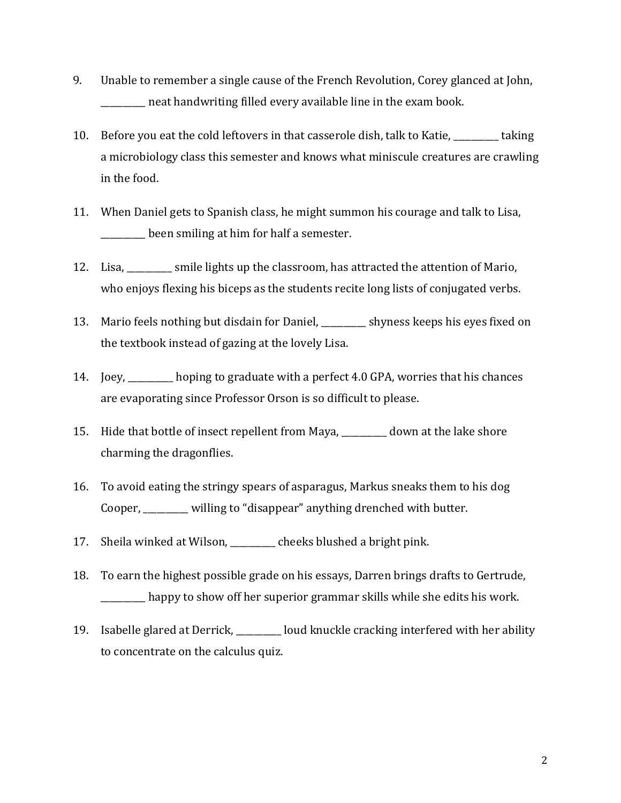- 9. Unable to remember a single cause of the French Revolution, Corey glanced at John, neat handwriting filled every available line in the exam book.
- 10. Before you eat the cold leftovers in that casserole dish, talk to Katie, \_\_\_\_\_\_\_\_\_\_ taking a microbiology class this semester and knows what miniscule creatures are crawling in the food.
- 11. When Daniel gets to Spanish class, he might summon his courage and talk to Lisa, **\_\_\_\_\_\_\_\_** been smiling at him for half a semester.
- 12. Lisa, \_\_\_\_\_\_\_\_\_\_ smile lights up the classroom, has attracted the attention of Mario, who enjoys flexing his biceps as the students recite long lists of conjugated verbs.
- 13. Mario feels nothing but disdain for Daniel, \_\_\_\_\_\_\_\_\_\_ shyness keeps his eyes fixed on the textbook instead of gazing at the lovely Lisa.
- 14. Joey, \_\_\_\_\_\_\_\_\_\_ hoping to graduate with a perfect 4.0 GPA, worries that his chances are evaporating since Professor Orson is so difficult to please.
- 15. Hide that bottle of insect repellent from Maya, \_\_\_\_\_\_\_\_\_\_ down at the lake shore charming the dragonflies.
- 16. To avoid eating the stringy spears of asparagus, Markus sneaks them to his dog Cooper, \_\_\_\_\_\_\_\_\_\_ willing to "disappear" anything drenched with butter.
- 17. Sheila winked at Wilson, \_\_\_\_\_\_\_\_\_\_ cheeks blushed a bright pink.
- 18. To earn the highest possible grade on his essays, Darren brings drafts to Gertrude, \_\_\_\_\_\_\_\_\_\_ happy to show off her superior grammar skills while she edits his work.
- 19. Isabelle glared at Derrick, \_\_\_\_\_\_\_\_\_\_ loud knuckle cracking interfered with her ability to concentrate on the calculus quiz.